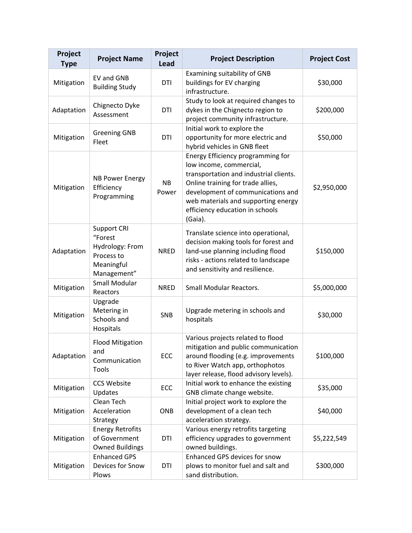| Project<br><b>Type</b> | <b>Project Name</b>                                                                         | Project<br><b>Lead</b> | <b>Project Description</b>                                                                                                                                                                                                                                            | <b>Project Cost</b> |
|------------------------|---------------------------------------------------------------------------------------------|------------------------|-----------------------------------------------------------------------------------------------------------------------------------------------------------------------------------------------------------------------------------------------------------------------|---------------------|
| Mitigation             | EV and GNB<br><b>Building Study</b>                                                         | DTI                    | Examining suitability of GNB<br>buildings for EV charging<br>infrastructure.                                                                                                                                                                                          | \$30,000            |
| Adaptation             | Chignecto Dyke<br>Assessment                                                                | DTI                    | Study to look at required changes to<br>dykes in the Chignecto region to<br>project community infrastructure.                                                                                                                                                         | \$200,000           |
| Mitigation             | <b>Greening GNB</b><br>Fleet                                                                | DTI                    | Initial work to explore the<br>opportunity for more electric and<br>hybrid vehicles in GNB fleet                                                                                                                                                                      | \$50,000            |
| Mitigation             | <b>NB Power Energy</b><br>Efficiency<br>Programming                                         | <b>NB</b><br>Power     | Energy Efficiency programming for<br>low income, commercial,<br>transportation and industrial clients.<br>Online training for trade allies,<br>development of communications and<br>web materials and supporting energy<br>efficiency education in schools<br>(Gaia). | \$2,950,000         |
| Adaptation             | <b>Support CRI</b><br>"Forest<br>Hydrology: From<br>Process to<br>Meaningful<br>Management" | <b>NRED</b>            | Translate science into operational,<br>decision making tools for forest and<br>land-use planning including flood<br>risks - actions related to landscape<br>and sensitivity and resilience.                                                                           | \$150,000           |
| Mitigation             | Small Modular<br>Reactors                                                                   | <b>NRED</b>            | <b>Small Modular Reactors.</b>                                                                                                                                                                                                                                        | \$5,000,000         |
| Mitigation             | Upgrade<br>Metering in<br>Schools and<br>Hospitals                                          | <b>SNB</b>             | Upgrade metering in schools and<br>hospitals                                                                                                                                                                                                                          | \$30,000            |
| Adaptation             | <b>Flood Mitigation</b><br>and<br>Communication<br>Tools                                    | ECC                    | Various projects related to flood<br>mitigation and public communication<br>around flooding (e.g. improvements<br>to River Watch app, orthophotos<br>layer release, flood advisory levels).                                                                           | \$100,000           |
| Mitigation             | <b>CCS Website</b><br>Updates                                                               | ECC                    | Initial work to enhance the existing<br>GNB climate change website.                                                                                                                                                                                                   | \$35,000            |
| Mitigation             | Clean Tech<br>Acceleration<br>Strategy                                                      | <b>ONB</b>             | Initial project work to explore the<br>development of a clean tech<br>acceleration strategy.                                                                                                                                                                          | \$40,000            |
| Mitigation             | <b>Energy Retrofits</b><br>of Government<br><b>Owned Buildings</b>                          | DTI                    | Various energy retrofits targeting<br>efficiency upgrades to government<br>owned buildings.                                                                                                                                                                           | \$5,222,549         |
| Mitigation             | <b>Enhanced GPS</b><br>Devices for Snow<br>Plows                                            | DTI                    | Enhanced GPS devices for snow<br>plows to monitor fuel and salt and<br>sand distribution.                                                                                                                                                                             | \$300,000           |